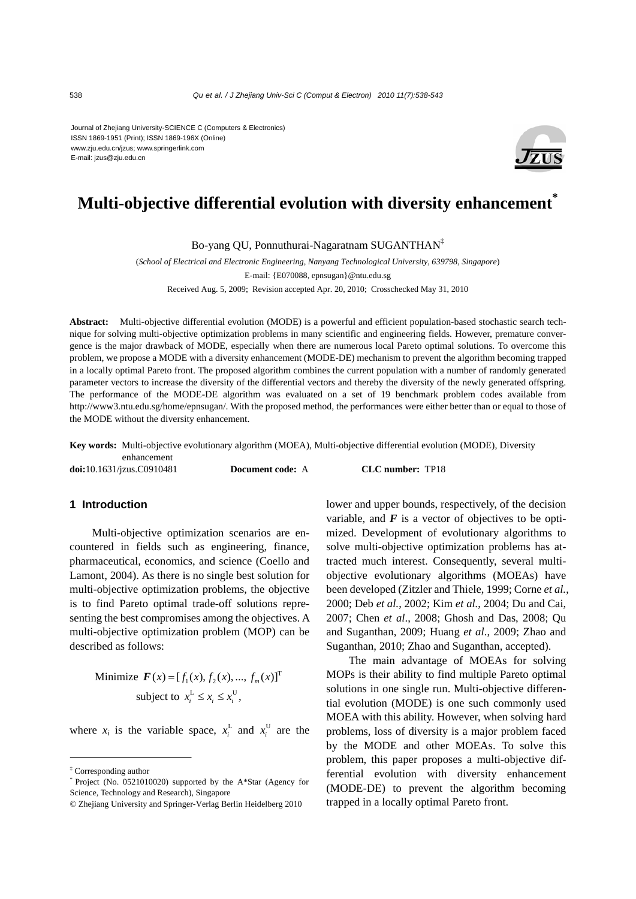Journal of Zhejiang University-SCIENCE C (Computers & Electronics) ISSN 1869-1951 (Print); ISSN 1869-196X (Online) www.zju.edu.cn/jzus; www.springerlink.com E-mail: jzus@zju.edu.cn



# **Multi-objective differential evolution with diversity enhancement\***

Bo-yang QU, Ponnuthurai-Nagaratnam SUGANTHAN‡

(*School of Electrical and Electronic Engineering, Nanyang Technological University, 639798, Singapore*) E-mail: {E070088, epnsugan}@ntu.edu.sg Received Aug. 5, 2009; Revision accepted Apr. 20, 2010; Crosschecked May 31, 2010

**Abstract:** Multi-objective differential evolution (MODE) is a powerful and efficient population-based stochastic search technique for solving multi-objective optimization problems in many scientific and engineering fields. However, premature convergence is the major drawback of MODE, especially when there are numerous local Pareto optimal solutions. To overcome this problem, we propose a MODE with a diversity enhancement (MODE-DE) mechanism to prevent the algorithm becoming trapped in a locally optimal Pareto front. The proposed algorithm combines the current population with a number of randomly generated parameter vectors to increase the diversity of the differential vectors and thereby the diversity of the newly generated offspring. The performance of the MODE-DE algorithm was evaluated on a set of 19 benchmark problem codes available from http://www3.ntu.edu.sg/home/epnsugan/. With the proposed method, the performances were either better than or equal to those of the MODE without the diversity enhancement.

**Key words:** Multi-objective evolutionary algorithm (MOEA), Multi-objective differential evolution (MODE), Diversity enhancement

**doi:**10.1631/jzus.C0910481 **Document code:** A **CLC number:** TP18

#### **1 Introduction**

Multi-objective optimization scenarios are encountered in fields such as engineering, finance, pharmaceutical, economics, and science (Coello and Lamont, 2004). As there is no single best solution for multi-objective optimization problems, the objective is to find Pareto optimal trade-off solutions representing the best compromises among the objectives. A multi-objective optimization problem (MOP) can be described as follows:

> Minimize  $\boldsymbol{F}(x) = [f_1(x), f_2(x), ..., f_m(x)]^T$ subject to  $x_i^L \le x_i \le x_i^U$ ,

where  $x_i$  is the variable space,  $x_i^L$  and  $x_i^U$  are the

lower and upper bounds, respectively, of the decision variable, and  $F$  is a vector of objectives to be optimized. Development of evolutionary algorithms to solve multi-objective optimization problems has attracted much interest. Consequently, several multiobjective evolutionary algorithms (MOEAs) have been developed (Zitzler and Thiele, 1999; Corne *et al.*, 2000; Deb *et al.*, 2002; Kim *et al.*, 2004; Du and Cai, 2007; Chen *et al*., 2008; Ghosh and Das, 2008; Qu and Suganthan, 2009; Huang *et al*., 2009; Zhao and Suganthan, 2010; Zhao and Suganthan, accepted).

The main advantage of MOEAs for solving MOPs is their ability to find multiple Pareto optimal solutions in one single run. Multi-objective differential evolution (MODE) is one such commonly used MOEA with this ability. However, when solving hard problems, loss of diversity is a major problem faced by the MODE and other MOEAs. To solve this problem, this paper proposes a multi-objective differential evolution with diversity enhancement (MODE-DE) to prevent the algorithm becoming trapped in a locally optimal Pareto front.

<sup>‡</sup> Corresponding author

<sup>\*</sup> Project (No. 0521010020) supported by the A\*Star (Agency for Science, Technology and Research), Singapore

<sup>©</sup> Zhejiang University and Springer-Verlag Berlin Heidelberg 2010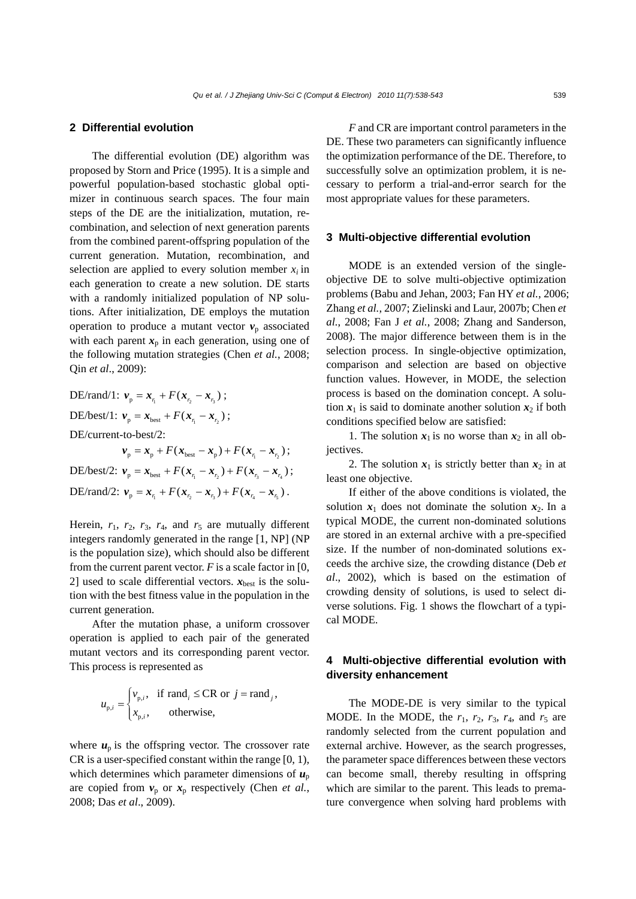## **2 Differential evolution**

The differential evolution (DE) algorithm was proposed by Storn and Price (1995). It is a simple and powerful population-based stochastic global optimizer in continuous search spaces. The four main steps of the DE are the initialization, mutation, recombination, and selection of next generation parents from the combined parent-offspring population of the current generation. Mutation, recombination, and selection are applied to every solution member  $x_i$  in each generation to create a new solution. DE starts with a randomly initialized population of NP solutions. After initialization, DE employs the mutation operation to produce a mutant vector  $v_p$  associated with each parent  $x_p$  in each generation, using one of the following mutation strategies (Chen *et al.*, 2008; Qin *et al*., 2009):

DE/rand/1:  $v_p = x_p + F(x_p - x_p)$ ; DE/best/1:  $v_p = x_{best} + F(x_n - x_n);$ DE/current-to-best/2:  $v_p = x_p + F(x_{best} - x_p) + F(x_n - x_r);$ DE/best/2:  $v_p = x_{best} + F(x_n - x_n) + F(x_n - x_n);$ DE/rand/2:  $v_p = x_{r_1} + F(x_{r_2} - x_{r_3}) + F(x_{r_4} - x_{r_5})$ .

Herein,  $r_1$ ,  $r_2$ ,  $r_3$ ,  $r_4$ , and  $r_5$  are mutually different integers randomly generated in the range [1, NP] (NP is the population size), which should also be different from the current parent vector.  $F$  is a scale factor in [0, 2] used to scale differential vectors.  $x_{best}$  is the solution with the best fitness value in the population in the current generation.

After the mutation phase, a uniform crossover operation is applied to each pair of the generated mutant vectors and its corresponding parent vector. This process is represented as

$$
u_{p,i} = \begin{cases} v_{p,i}, & \text{if } \text{rand}_i \leq \text{CR} \text{ or } j = \text{rand}_j, \\ x_{p,i}, & \text{otherwise,} \end{cases}
$$

where  $u_p$  is the offspring vector. The crossover rate CR is a user-specified constant within the range [0, 1), which determines which parameter dimensions of  $u_p$ are copied from  $v_p$  or  $x_p$  respectively (Chen *et al.*, 2008; Das *et al*., 2009).

*F* and CR are important control parameters in the DE. These two parameters can significantly influence the optimization performance of the DE. Therefore, to successfully solve an optimization problem, it is necessary to perform a trial-and-error search for the most appropriate values for these parameters.

#### **3 Multi-objective differential evolution**

MODE is an extended version of the singleobjective DE to solve multi-objective optimization problems (Babu and Jehan, 2003; Fan HY *et al.*, 2006; Zhang *et al.*, 2007; Zielinski and Laur, 2007b; Chen *et al.*, 2008; Fan J *et al.*, 2008; Zhang and Sanderson, 2008). The major difference between them is in the selection process. In single-objective optimization, comparison and selection are based on objective function values. However, in MODE, the selection process is based on the domination concept. A solution  $x_1$  is said to dominate another solution  $x_2$  if both conditions specified below are satisfied:

1. The solution  $x_1$  is no worse than  $x_2$  in all objectives.

2. The solution  $x_1$  is strictly better than  $x_2$  in at least one objective.

If either of the above conditions is violated, the solution  $x_1$  does not dominate the solution  $x_2$ . In a typical MODE, the current non-dominated solutions are stored in an external archive with a pre-specified size. If the number of non-dominated solutions exceeds the archive size, the crowding distance (Deb *et al*., 2002), which is based on the estimation of crowding density of solutions, is used to select diverse solutions. Fig. 1 shows the flowchart of a typical MODE.

# **4 Multi-objective differential evolution with diversity enhancement**

The MODE-DE is very similar to the typical MODE. In the MODE, the  $r_1$ ,  $r_2$ ,  $r_3$ ,  $r_4$ , and  $r_5$  are randomly selected from the current population and external archive. However, as the search progresses, the parameter space differences between these vectors can become small, thereby resulting in offspring which are similar to the parent. This leads to premature convergence when solving hard problems with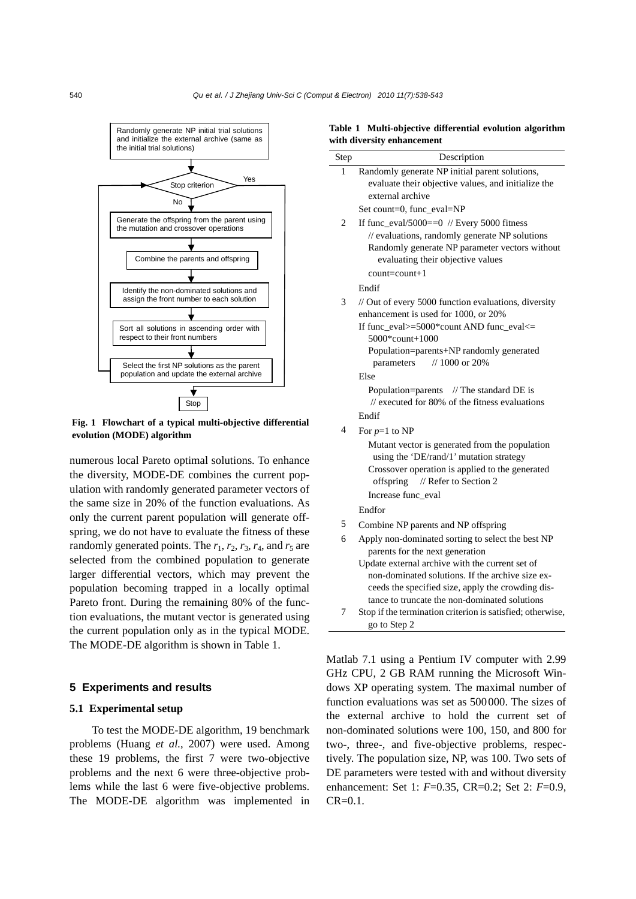

**Fig. 1 Flowchart of a typical multi-objective differential evolution (MODE) algorithm** 

numerous local Pareto optimal solutions. To enhance the diversity, MODE-DE combines the current population with randomly generated parameter vectors of the same size in 20% of the function evaluations. As only the current parent population will generate offspring, we do not have to evaluate the fitness of these randomly generated points. The  $r_1$ ,  $r_2$ ,  $r_3$ ,  $r_4$ , and  $r_5$  are selected from the combined population to generate larger differential vectors, which may prevent the population becoming trapped in a locally optimal Pareto front. During the remaining 80% of the function evaluations, the mutant vector is generated using the current population only as in the typical MODE. The MODE-DE algorithm is shown in Table 1.

### **5 Experiments and results**

### **5.1 Experimental setup**

To test the MODE-DE algorithm, 19 benchmark problems (Huang *et al.*, 2007) were used. Among these 19 problems, the first 7 were two-objective problems and the next 6 were three-objective problems while the last 6 were five-objective problems. The MODE-DE algorithm was implemented in

**Table 1 Multi-objective differential evolution algorithm with diversity enhancement** 

| Step                     | Description                                                                                  |
|--------------------------|----------------------------------------------------------------------------------------------|
| 1                        | Randomly generate NP initial parent solutions,                                               |
|                          | evaluate their objective values, and initialize the                                          |
|                          | external archive                                                                             |
|                          | Set count=0, func_eval=NP                                                                    |
| $\overline{c}$           | If func_eval/5000== $0$ // Every 5000 fitness                                                |
|                          | // evaluations, randomly generate NP solutions                                               |
|                          | Randomly generate NP parameter vectors without                                               |
|                          | evaluating their objective values<br>$count = count + 1$                                     |
|                          |                                                                                              |
|                          | Endif                                                                                        |
| 3                        | // Out of every 5000 function evaluations, diversity<br>enhancement is used for 1000, or 20% |
|                          | If func_eval>=5000*count AND func_eval<=                                                     |
|                          | 5000*count+1000                                                                              |
|                          | Population=parents+NP randomly generated                                                     |
|                          | // 1000 or 20%<br>parameters                                                                 |
|                          | Else                                                                                         |
|                          | Population=parents // The standard DE is                                                     |
|                          | $\ell$ executed for 80% of the fitness evaluations                                           |
|                          | Endif                                                                                        |
| $\overline{\mathcal{A}}$ | For $p=1$ to NP                                                                              |
|                          | Mutant vector is generated from the population                                               |
|                          | using the 'DE/rand/1' mutation strategy<br>Crossover operation is applied to the generated   |
|                          | // Refer to Section 2<br>offspring                                                           |
|                          | Increase func_eval                                                                           |
|                          | Endfor                                                                                       |
| 5                        | Combine NP parents and NP offspring                                                          |
| 6                        | Apply non-dominated sorting to select the best NP                                            |
|                          | parents for the next generation                                                              |
|                          | Update external archive with the current set of                                              |
|                          | non-dominated solutions. If the archive size ex-                                             |
|                          | ceeds the specified size, apply the crowding dis-                                            |
|                          | tance to truncate the non-dominated solutions                                                |
| 7                        | Stop if the termination criterion is satisfied; otherwise,                                   |
|                          | go to Step 2                                                                                 |

Matlab 7.1 using a Pentium IV computer with 2.99 GHz CPU, 2 GB RAM running the Microsoft Windows XP operating system. The maximal number of function evaluations was set as 500000. The sizes of the external archive to hold the current set of non-dominated solutions were 100, 150, and 800 for two-, three-, and five-objective problems, respectively. The population size, NP, was 100. Two sets of DE parameters were tested with and without diversity enhancement: Set 1: *F*=0.35, CR=0.2; Set 2: *F*=0.9,  $CR = 0.1$ .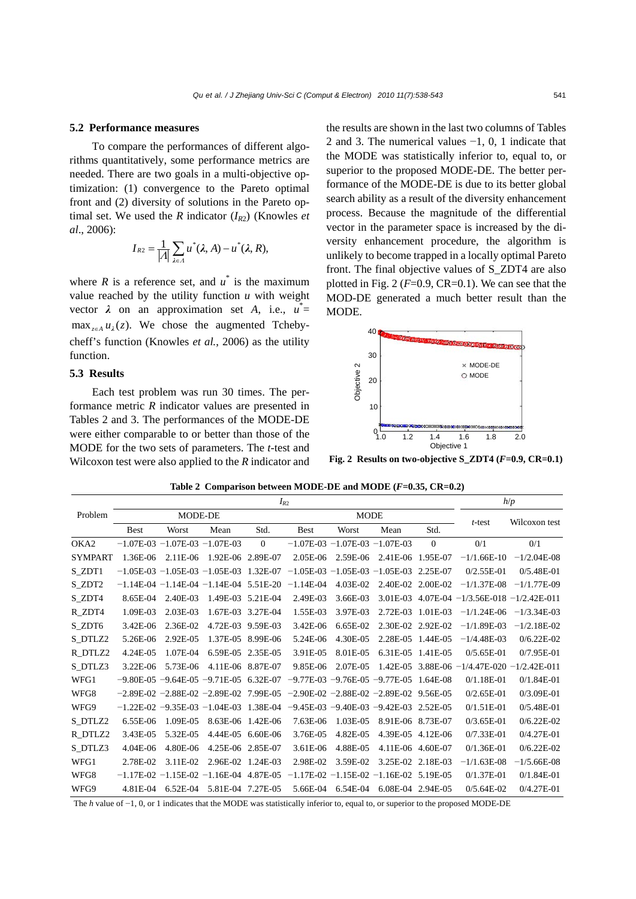## **5.2 Performance measures**

To compare the performances of different algorithms quantitatively, some performance metrics are needed. There are two goals in a multi-objective optimization: (1) convergence to the Pareto optimal front and (2) diversity of solutions in the Pareto optimal set. We used the *R* indicator  $(I_{R2})$  (Knowles *et al*., 2006):

$$
I_{R2}=\frac{1}{|A|}\sum_{\lambda\in A}u^*(\lambda,A)-u^*(\lambda,R),
$$

where *R* is a reference set, and  $u^*$  is the maximum value reached by the utility function *u* with weight vector  $\lambda$  on an approximation set *A*, i.e.,  $u^* =$  $\max_{z \in A} u_i(z)$ . We chose the augmented Tchebycheff's function (Knowles *et al.*, 2006) as the utility function.

## **5.3 Results**

Each test problem was run 30 times. The performance metric *R* indicator values are presented in Tables 2 and 3. The performances of the MODE-DE were either comparable to or better than those of the MODE for the two sets of parameters. The *t*-test and Wilcoxon test were also applied to the *R* indicator and the results are shown in the last two columns of Tables 2 and 3. The numerical values −1, 0, 1 indicate that the MODE was statistically inferior to, equal to, or superior to the proposed MODE-DE. The better performance of the MODE-DE is due to its better global search ability as a result of the diversity enhancement process. Because the magnitude of the differential vector in the parameter space is increased by the diversity enhancement procedure, the algorithm is unlikely to become trapped in a locally optimal Pareto front. The final objective values of S\_ZDT4 are also plotted in Fig. 2  $(F=0.9, CR=0.1)$ . We can see that the MOD-DE generated a much better result than the MODE.



**Fig. 2 Results on two-objective S\_ZDT4 (***F***=0.9, CR=0.1)**

**Table 2 Comparison between MODE-DE and MODE (***F***=0.35, CR=0.2)** 

|                  | $I_{R2}$    |                                      |                                 |             |                                    |             |                                     | h/p          |                                      |                |
|------------------|-------------|--------------------------------------|---------------------------------|-------------|------------------------------------|-------------|-------------------------------------|--------------|--------------------------------------|----------------|
| Problem          | MODE-DE     |                                      |                                 | <b>MODE</b> |                                    |             |                                     |              |                                      |                |
|                  | <b>Best</b> | Worst                                | Mean                            | Std.        | <b>Best</b>                        | Worst       | Mean                                | Std.         | $t$ -test                            | Wilcoxon test  |
| OKA <sub>2</sub> |             | $-1.07E-03 -1.07E-03 -1.07E-03$      |                                 | $\theta$    | $-1.07E-03 -1.07E-03 -1.07E-03$    |             |                                     | $\mathbf{0}$ | 0/1                                  | 0/1            |
| <b>SYMPART</b>   | 1.36E-06    | 2.11E-06                             | 1.92E-06                        | 2.89E-07    | 2.05E-06                           | 2.59E-06    | 2.41E-06                            | 1.95E-07     | $-1/1.66E-10$                        | $-1/2.04E-08$  |
| S_ZDT1           |             | $-1.05E-03 -1.05E-03 -1.05E-03$      |                                 | 1.32E-07    | $-1.05E-03$                        | $-1.05E-03$ | $-1.05E-03$                         | 2.25E-07     | $0/2.55E-01$                         | $0/5.48E - 01$ |
| S_ZDT2           |             |                                      | $-1.14E-04 -1.14E-04 -1.14E-04$ | 5.51E-20    | $-1.14E-04$                        | 4.03E-02    | 2.40E-02                            | 2.00E-02     | $-1/1.37E-08$                        | $-1/1.77E-09$  |
| S_ZDT4           | 8.65E-04    | 2.40E-03                             | 1.49E-03                        | 5.21E-04    | 2.49E-03                           | 3.66E-03    | 3.01E-03                            |              | $4.07E-04 -1/3.56E-018 -1/2.42E-011$ |                |
| R_ZDT4           | 1.09E-03    | 2.03E-03                             | 1.67E-03                        | 3.27E-04    | 1.55E-03                           | 3.97E-03    | 2.72E-03                            | 1.01E-03     | $-1/1.24E-06$                        | $-1/3.34E-03$  |
| S ZDT6           | 3.42E-06    | 2.36E-02                             | 4.72E-03                        | 9.59E-03    | 3.42E-06                           | 6.65E-02    | 2.30E-02                            | 2.92E-02     | $-1/1.89E-03$                        | $-1/2.18E-02$  |
| S DTLZ2          | 5.26E-06    | 2.92E-05                             | 1.37E-05                        | 8.99E-06    | 5.24E-06                           | 4.30E-05    | 2.28E-05                            | 1.44E-05     | $-1/4.48E-03$                        | $0/6.22E - 02$ |
| R DTLZ2          | 4.24E-05    | 1.07E-04                             | 6.59E-05                        | 2.35E-05    | 3.91E-05                           | 8.01E-05    | 6.31E-05                            | 1.41E-05     | $0/5.65E-01$                         | $0/7.95E-01$   |
| S DTLZ3          | 3.22E-06    | 5.73E-06                             | 4.11E-06                        | 8.87E-07    | 9.85E-06                           | 2.07E-05    | 1.42E-05                            | 3.88E-06     | $-1/4.47E-020 -1/2.42E-011$          |                |
| WFG1             |             | $-9.80E-0.5 - 9.64E-0.5 - 9.71E-0.5$ |                                 | 6.32E-07    | $-9.77E-0.3 -9.76E-0.5 -9.77E-0.5$ |             |                                     | 1.64E-08     | $0/1.18E - 01$                       | $0/1.84E - 01$ |
| WFG8             |             | $-2.89E-02 -2.88E-02 -2.89E-02$      |                                 | 7.99E-05    |                                    |             | $-2.90E-02 -2.88E-02 -2.89E-02$     | 9.56E-05     | $0/2.65E-01$                         | $0/3.09E-01$   |
| WFG9             |             | $-1.22E-02$ $-9.35E-03$ $-1.04E-03$  |                                 | 1.38E-04    |                                    |             | $-9.45E-03$ $-9.40E-03$ $-9.42E-03$ | 2.52E-05     | $0/1.51E-01$                         | $0/5.48E - 01$ |
| S_DTLZ2          | 6.55E-06    | 1.09E-05                             | 8.63E-06                        | 1.42E-06    | 7.63E-06                           | 1.03E-05    | 8.91E-06                            | 8.73E-07     | $0/3.65E-01$                         | $0/6.22E-02$   |
| R_DTLZ2          | 3.43E-05    | 5.32E-05                             | 4.44E-05                        | $6.60E-06$  | 3.76E-05                           | 4.82E-05    | 4.39E-05                            | $4.12E-06$   | $0/7.33E-01$                         | $0/4.27E - 01$ |
| S DTLZ3          | 4.04E-06    | 4.80E-06                             | 4.25E-06                        | 2.85E-07    | 3.61E-06                           | 4.88E-05    | $4.11E-06$                          | 4.60E-07     | $0/1.36E-01$                         | $0/6.22E-02$   |
| WFG1             | 2.78E-02    | 3.11E-02                             | 2.96E-02                        | 1.24E-03    | 2.98E-02                           | 3.59E-02    | 3.25E-02                            | 2.18E-03     | $-1/1.63E-08$                        | $-1/5.66E-08$  |
| WFG8             | $-1.17E-02$ | $-1.15E-02$                          | $-1.16E-04$                     | 4.87E-05    |                                    |             | $-1.17E-02 -1.15E-02 -1.16E-02$     | 5.19E-05     | $0/1.37E - 01$                       | $0/1.84E - 01$ |
| WFG9             | 4.81E-04    | $6.52E-04$                           | 5.81E-04                        | 7.27E-05    | 5.66E-04                           | 6.54E-04    | 6.08E-04 2.94E-05                   |              | $0/5.64E-02$                         | $0/4.27E - 01$ |

The *h* value of −1, 0, or 1 indicates that the MODE was statistically inferior to, equal to, or superior to the proposed MODE-DE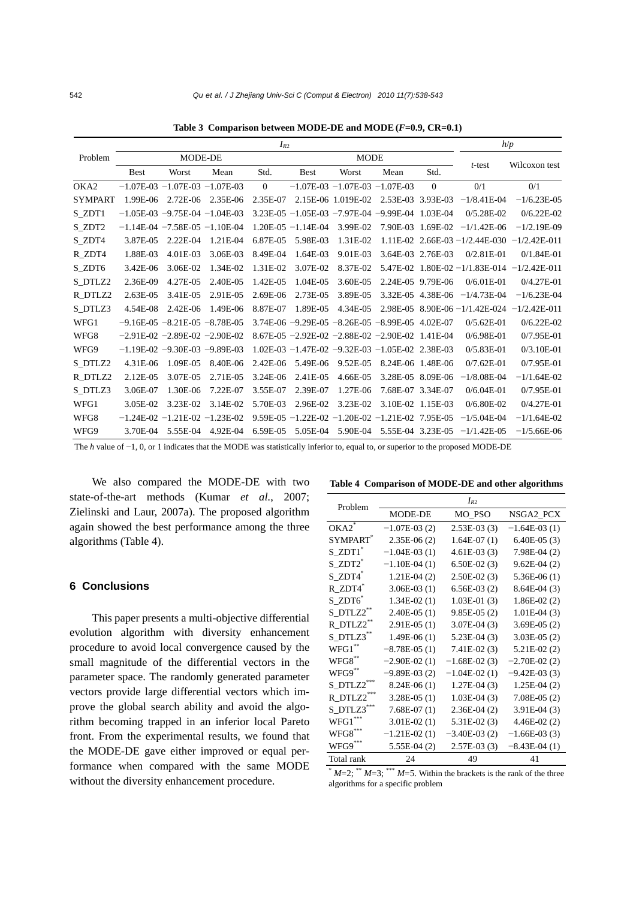|                | $I_{R2}$    |                                     |          |              |                                              |                                              | h/p               |                   |                          |                |
|----------------|-------------|-------------------------------------|----------|--------------|----------------------------------------------|----------------------------------------------|-------------------|-------------------|--------------------------|----------------|
| Problem        | MODE-DE     |                                     |          |              | <b>MODE</b>                                  |                                              |                   |                   |                          |                |
|                | <b>Best</b> | Worst                               | Mean     | Std.         | <b>Best</b>                                  | Worst                                        | Mean              | Std.              | $t$ -test                | Wilcoxon test  |
| OKA2           |             | $-1.07E-03 -1.07E-03 -1.07E-03$     |          | $\Omega$     |                                              | $-1.07E-03 -1.07E-03 -1.07E-03$              |                   | $\Omega$          | 0/1                      | 0/1            |
| <b>SYMPART</b> | 1.99E-06    | 2.72E-06                            | 2.35E-06 | 2.35E-07     |                                              | 2.15E-06 1.019E-02                           | 2.53E-03 3.93E-03 |                   | $-1/8.41E-04$            | $-1/6.23E-05$  |
| S ZDT1         |             | $-1.05E-03 -9.75E-04 -1.04E-03$     |          | $3.23E-05$   |                                              | $-1.05E-03 -7.97E-04 -9.99E-04$              |                   | 1.03E-04          | $0/5.28E-02$             | $0/6.22E - 02$ |
| S_ZDT2         |             | $-1.14E-04$ $-7.58E-05$ $-1.10E-04$ |          | 1.20E-05     | $-1.14E-04$                                  | 3.99E-02                                     | 7.90E-03          | 1.69E-02          | $-1/1.42E-06$            | $-1/2.19E-09$  |
| S_ZDT4         | 3.87E-05    | 2.22E-04                            | 1.21E-04 | 6.87E-05     | 5.98E-03                                     | 1.31E-02                                     | 1.11E-02          |                   | $2.66E-03 - 1/2.44E-030$ | $-1/2.42E-011$ |
| R ZDT4         | 1.88E-03    | 4.01E-03                            | 3.06E-03 | 8.49E-04     | 1.64E-03                                     | 9.01E-03                                     | 3.64E-03          | 2.76E-03          | $0/2.81E-01$             | $0/1.84E - 01$ |
| S_ZDT6         | 3.42E-06    | 3.06E-02                            | 1.34E-02 | 1.31E-02     | 3.07E-02                                     | 8.37E-02                                     | 5.47E-02          |                   | $1.80E-02 -1/1.83E-014$  | $-1/2.42E-011$ |
| S_DTLZ2        | 2.36E-09    | 4.27E-05                            | 2.40E-05 | 1.42E-05     | 1.04E-05                                     | 3.60E-05                                     | 2.24E-05          | 9.79E-06          | $0/6.01E-01$             | $0/4.27E - 01$ |
| R DTLZ2        | $2.63E-05$  | 3.41E-05                            | 2.91E-05 | 2.69E-06     | 2.73E-05                                     | 3.89E-05                                     | 3.32E-05          | 4.38E-06          | $-1/4.73E-04$            | $-1/6.23E-04$  |
| S_DTLZ3        | 4.54E-08    | 2.42E-06                            | 1.49E-06 | 8.87E-07     | 1.89E-05                                     | 4.34E-05                                     | 2.98E-05          |                   | $8.90E-06 - 1/1.42E-024$ | $-1/2.42E-011$ |
| WFG1           |             | $-9.16E-05 -8.21E-05 -8.78E-05$     |          |              | $3.74E-06 -9.29E-05 -8.26E-05 -8.99E-05$     |                                              |                   | 4.02E-07          | $0/5.62E - 01$           | $0/6.22E-02$   |
| WFG8           |             | $-2.91E-02 -2.89E-02 -2.90E-02$     |          |              | 8.67E-05 $-2.92E-02$ $-2.88E-02$ $-2.90E-02$ |                                              |                   | 1.41E-04          | $0/6.98E - 01$           | $0/7.95E-01$   |
| WFG9           |             | $-1.19E-02$ $-9.30E-03$ $-9.89E-03$ |          | $1.02E-03$   |                                              | $-1.47E-02$ $-9.32E-03$ $-1.05E-02$ 2.38E-03 |                   |                   | $0/5.83E-01$             | $0/3.10E-01$   |
| S DTLZ2        | 4.31E-06    | 1.09E-05                            | 8.40E-06 | $2.42E - 06$ | 5.49E-06                                     | 9.52E-05                                     |                   | 8.24E-06 1.48E-06 | $0/7.62E - 01$           | $0/7.95E-01$   |
| R DTLZ2        | $2.12E-05$  | 3.07E-05                            | 2.71E-05 | 3.24E-06     | 2.41E-05                                     | 4.66E-05                                     | 3.28E-05          | 8.09E-06          | $-1/8.08E-04$            | $-1/1.64E-02$  |
| S DTLZ3        | 3.06E-07    | 1.30E-06                            | 7.22E-07 | 3.55E-07     | 2.39E-07                                     | 1.27E-06                                     | 7.68E-07          | 3.34E-07          | $0/6.04E-01$             | $0/7.95E-01$   |
| WFG1           | 3.05E-02    | 3.23E-02                            | 3.14E-02 | 5.70E-03     | 2.96E-02                                     | 3.23E-02                                     | 3.10E-02          | 1.15E-03          | $0/6.80E-02$             | $0/4.27E - 01$ |
| WFG8           | $-1.24E-02$ | $-1.21E-02 -1.23E-02$               |          | 9.59E-05     | $-1.22E-02$                                  | $-1.20E-02$                                  | $-1.21E-02$       | 7.95E-05          | $-1/5.04E-04$            | $-1/1.64E-02$  |
| WFG9           | 3.70E-04    | 5.55E-04                            | 4.92E-04 | 6.59E-05     | 5.05E-04                                     | 5.90E-04                                     |                   | 5.55E-04 3.23E-05 | $-1/1.42E-05$            | $-1/5.66E-06$  |

**Table 3 Comparison between MODE-DE and MODE(***F***=0.9, CR=0.1)** 

The *h* value of −1, 0, or 1 indicates that the MODE was statistically inferior to, equal to, or superior to the proposed MODE-DE

We also compared the MODE-DE with two state-of-the-art methods (Kumar *et al.*, 2007; Zielinski and Laur, 2007a). The proposed algorithm again showed the best performance among the three algorithms (Table 4).

## **6 Conclusions**

This paper presents a multi-objective differential evolution algorithm with diversity enhancement procedure to avoid local convergence caused by the small magnitude of the differential vectors in the parameter space. The randomly generated parameter vectors provide large differential vectors which improve the global search ability and avoid the algorithm becoming trapped in an inferior local Pareto front. From the experimental results, we found that the MODE-DE gave either improved or equal performance when compared with the same MODE without the diversity enhancement procedure.

|  |  |  | Table 4 Comparison of MODE-DE and other algorithms |
|--|--|--|----------------------------------------------------|
|--|--|--|----------------------------------------------------|

| Problem                     | $I_{R2}$       |                |                |  |  |  |  |
|-----------------------------|----------------|----------------|----------------|--|--|--|--|
|                             | MODE-DE        | MO_PSO         | NSGA2_PCX      |  |  |  |  |
| $OKA2$ <sup>*</sup>         | $-1.07E-03(2)$ | $2.53E-03(3)$  | $-1.64E-03(1)$ |  |  |  |  |
| <b>SYMPART</b> <sup>*</sup> | $2.35E-06(2)$  | $1.64E-07(1)$  | $6.40E-05(3)$  |  |  |  |  |
| S_ZDT1 <sup>*</sup>         | $-1.04E-03(1)$ | $4.61E-03(3)$  | 7.98E-04 (2)   |  |  |  |  |
| S ZDT2 <sup>*</sup>         | $-1.10E-04(1)$ | $6.50E-02(3)$  | $9.62E-04(2)$  |  |  |  |  |
| S_ZDT4 <sup>*</sup>         | $1.21E-04(2)$  | $2.50E-02(3)$  | $5.36E-06(1)$  |  |  |  |  |
| R ZDT4 <sup>*</sup>         | $3.06E-03(1)$  | $6.56E-03(2)$  | $8.64E-04(3)$  |  |  |  |  |
| $S$ ZDT $6^*$               | $1.34E-02(1)$  | $1.03E-01(3)$  | $1.86E-02(2)$  |  |  |  |  |
| S_DTLZ2**                   | $2.40E-05(1)$  | $9.85E-05(2)$  | $1.01E-04(3)$  |  |  |  |  |
| R DTLZ2                     | $2.91E-05(1)$  | $3.07E-04(3)$  | $3.69E-05(2)$  |  |  |  |  |
| S DTLZ3                     | $1.49E-06(1)$  | $5.23E-04(3)$  | $3.03E-05(2)$  |  |  |  |  |
| WFG1                        | $-8.78E-05(1)$ | $7.41E-02(3)$  | $5.21E-02(2)$  |  |  |  |  |
| $WFG8$ **                   | $-2.90E-02(1)$ | $-1.68E-02(3)$ | $-2.70E-02(2)$ |  |  |  |  |
| $WFG9$ **                   | $-9.89E-03(2)$ | $-1.04E-02(1)$ | $-9.42E-03(3)$ |  |  |  |  |
| S DTLZ2                     | $8.24E-06(1)$  | $1.27E-04(3)$  | $1.25E-04(2)$  |  |  |  |  |
| R DTLZ2                     | $3.28E-05(1)$  | $1.03E-04(3)$  | $7.08E-05(2)$  |  |  |  |  |
| S DTLZ3                     | $7.68E-07(1)$  | $2.36E-04(2)$  | $3.91E-04(3)$  |  |  |  |  |
| $WFG1***$                   | $3.01E-02(1)$  | $5.31E-02(3)$  | $4.46E-02(2)$  |  |  |  |  |
| $WFG8$ ***                  | $-1.21E-02(1)$ | $-3.40E-03(2)$ | $-1.66E-03(3)$ |  |  |  |  |
| WFG9***                     | $5.55E-04(2)$  | $2.57E-03(3)$  | $-8.43E-04(1)$ |  |  |  |  |
| Total rank                  | 24             | 49             | 41             |  |  |  |  |

 $*^{*}$  *M*=2;  $*^{*}$  *M*=3;  $*^{**}$  *M*=5. Within the brackets is the rank of the three algorithms for a specific problem